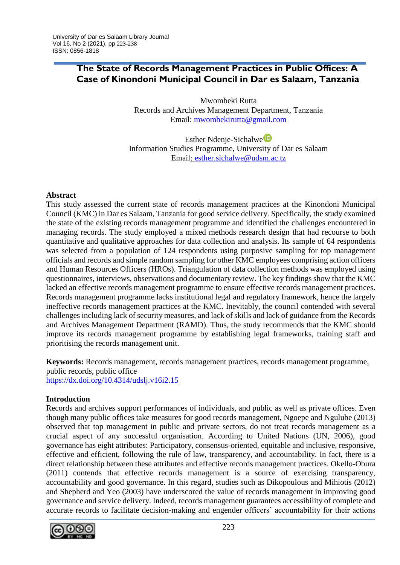# **The State of Records Management Practices in Public Offices: A Case of Kinondoni Municipal Council in Dar es Salaam, Tanzania**

Mwombeki Rutta Records and Archives Management Department, Tanzania Email: [mwombekirutta@gmail.com](mailto:mwombekirutta@gmail.com)

Esther Ndenje-Sichalwe<sup>D</sup> Information Studies Programme, University of Dar es Salaam Email: [esther.sichalwe@udsm.ac.tz](mailto:esther.sichalwe@udsm.ac.tz)

## **Abstract**

This study assessed the current state of records management practices at the Kinondoni Municipal Council (KMC) in Dar es Salaam, Tanzania for good service delivery. Specifically, the study examined the state of the existing records management programme and identified the challenges encountered in managing records. The study employed a mixed methods research design that had recourse to both quantitative and qualitative approaches for data collection and analysis. Its sample of 64 respondents was selected from a population of 124 respondents using purposive sampling for top management officials and records and simple random sampling for other KMC employees comprising action officers and Human Resources Officers (HROs). Triangulation of data collection methods was employed using questionnaires, interviews, observations and documentary review. The key findings show that the KMC lacked an effective records management programme to ensure effective records management practices. Records management programme lacks institutional legal and regulatory framework, hence the largely ineffective records management practices at the KMC. Inevitably, the council contended with several challenges including lack of security measures, and lack of skills and lack of guidance from the Records and Archives Management Department (RAMD). Thus, the study recommends that the KMC should improve its records management programme by establishing legal frameworks, training staff and prioritising the records management unit.

**Keywords:** Records management, records management practices, records management programme, public records, public office <https://dx.doi.org/10.4314/udslj.v16i2.15>

## **Introduction**

Records and archives support performances of individuals, and public as well as private offices. Even though many public offices take measures for good records management, Ngoepe and Ngulube (2013) observed that top management in public and private sectors, do not treat records management as a crucial aspect of any successful organisation. According to United Nations (UN, 2006), good governance has eight attributes: Participatory, consensus-oriented, equitable and inclusive, responsive, effective and efficient, following the rule of law, transparency, and accountability. In fact, there is a direct relationship between these attributes and effective records management practices. Okello-Obura (2011) contends that effective records management is a source of exercising transparency, accountability and good governance. In this regard, studies such as Dikopoulous and Mihiotis (2012) and Shepherd and Yeo (2003) have underscored the value of records management in improving good governance and service delivery. Indeed, records management guarantees accessibility of complete and accurate records to facilitate decision-making and engender officers' accountability for their actions

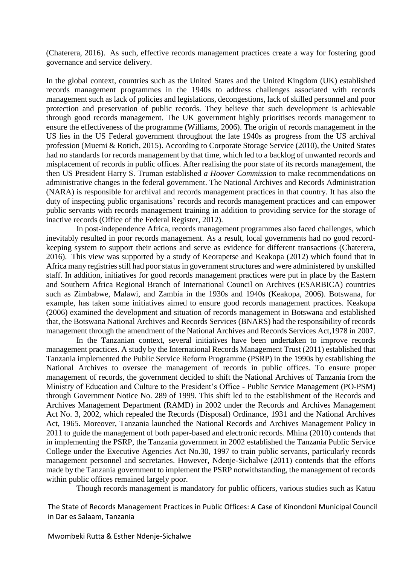(Chaterera, 2016). As such, effective records management practices create a way for fostering good governance and service delivery.

In the global context, countries such as the United States and the United Kingdom (UK) established records management programmes in the 1940s to address challenges associated with records management such as lack of policies and legislations, decongestions, lack of skilled personnel and poor protection and preservation of public records. They believe that such development is achievable through good records management. The UK government highly prioritises records management to ensure the effectiveness of the programme (Williams, 2006). The origin of records management in the US lies in the US Federal government throughout the late 1940s as progress from the US archival profession (Muemi & Rotich, 2015). According to Corporate Storage Service (2010), the United States had no standards for records management by that time, which led to a backlog of unwanted records and misplacement of records in public offices. After realising the poor state of its records management, the then US President Harry S. Truman established *a Hoover Commission* to make recommendations on administrative changes in the federal government. The National Archives and Records Administration (NARA) is responsible for archival and records management practices in that country. It has also the duty of inspecting public organisations' records and records management practices and can empower public servants with records management training in addition to providing service for the storage of inactive records (Office of the Federal Register, 2012).

In post-independence Africa, records management programmes also faced challenges, which inevitably resulted in poor records management. As a result, local governments had no good recordkeeping system to support their actions and serve as evidence for different transactions (Chaterera, 2016). This view was supported by a study of Keorapetse and Keakopa (2012) which found that in Africa many registries still had poor status in government structures and were administered by unskilled staff. In addition, initiatives for good records management practices were put in place by the Eastern and Southern Africa Regional Branch of International Council on Archives (ESARBICA) countries such as Zimbabwe, Malawi, and Zambia in the 1930s and 1940s (Keakopa, 2006). Botswana, for example, has taken some initiatives aimed to ensure good records management practices. Keakopa (2006) examined the development and situation of records management in Botswana and established that, the Botswana National Archives and Records Services (BNARS) had the responsibility of records management through the amendment of the National Archives and Records Services Act,1978 in 2007.

In the Tanzanian context, several initiatives have been undertaken to improve records management practices. A study by the International Records Management Trust (2011) established that Tanzania implemented the Public Service Reform Programme (PSRP) in the 1990s by establishing the National Archives to oversee the management of records in public offices. To ensure proper management of records, the government decided to shift the National Archives of Tanzania from the Ministry of Education and Culture to the President's Office - Public Service Management (PO-PSM) through Government Notice No. 289 of 1999. This shift led to the establishment of the Records and Archives Management Department (RAMD) in 2002 under the Records and Archives Management Act No. 3, 2002, which repealed the Records (Disposal) Ordinance, 1931 and the National Archives Act, 1965. Moreover, Tanzania launched the National Records and Archives Management Policy in 2011 to guide the management of both paper-based and electronic records. Mhina (2010) contends that in implementing the PSRP, the Tanzania government in 2002 established the Tanzania Public Service College under the Executive Agencies Act No.30, 1997 to train public servants, particularly records management personnel and secretaries. However, Ndenje-Sichalwe (2011) contends that the efforts made by the Tanzania government to implement the PSRP notwithstanding, the management of records within public offices remained largely poor.

Though records management is mandatory for public officers, various studies such as Katuu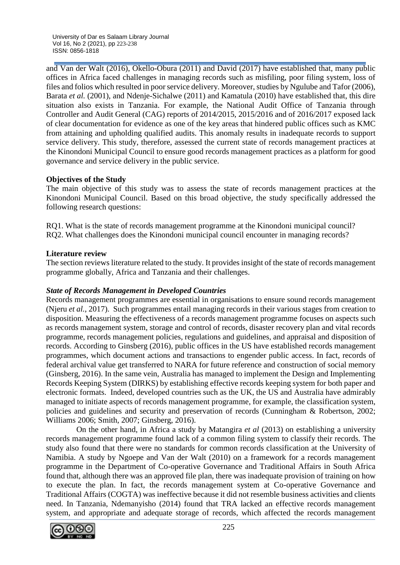and Van der Walt (2016), Okello-Obura (2011) and David (2017) have established that, many public offices in Africa faced challenges in managing records such as misfiling, poor filing system, loss of files and folios which resulted in poor service delivery. Moreover, studies by Ngulube and Tafor (2006), Barata *et al.* (2001), and Ndenje-Sichalwe (2011) and Kamatula (2010) have established that, this dire situation also exists in Tanzania. For example, the National Audit Office of Tanzania through Controller and Audit General (CAG) reports of 2014/2015, 2015/2016 and of 2016/2017 exposed lack of clear documentation for evidence as one of the key areas that hindered public offices such as KMC from attaining and upholding qualified audits. This anomaly results in inadequate records to support service delivery. This study, therefore, assessed the current state of records management practices at the Kinondoni Municipal Council to ensure good records management practices as a platform for good governance and service delivery in the public service.

## **Objectives of the Study**

The main objective of this study was to assess the state of records management practices at the Kinondoni Municipal Council. Based on this broad objective, the study specifically addressed the following research questions:

RQ1. What is the state of records management programme at the Kinondoni municipal council? RQ2. What challenges does the Kinondoni municipal council encounter in managing records?

## **Literature review**

The section reviews literature related to the study. It provides insight of the state of records management programme globally, Africa and Tanzania and their challenges.

# *State of Records Management in Developed Countries*

Records management programmes are essential in organisations to ensure sound records management (Njeru *et al.*, 2017). Such programmes entail managing records in their various stages from creation to disposition. Measuring the effectiveness of a records management programme focuses on aspects such as records management system, storage and control of records, disaster recovery plan and vital records programme, records management policies, regulations and guidelines, and appraisal and disposition of records. According to Ginsberg (2016), public offices in the US have established records management programmes, which document actions and transactions to engender public access. In fact, records of federal archival value get transferred to NARA for future reference and construction of social memory (Ginsberg, 2016). In the same vein, Australia has managed to implement the Design and Implementing Records Keeping System (DIRKS) by establishing effective records keeping system for both paper and electronic formats. Indeed, developed countries such as the UK, the US and Australia have admirably managed to initiate aspects of records management programme, for example, the classification system, policies and guidelines and security and preservation of records (Cunningham & Robertson, 2002; Williams 2006; Smith, 2007; Ginsberg, 2016).

On the other hand, in Africa a study by Matangira *et al* (2013) on establishing a university records management programme found lack of a common filing system to classify their records. The study also found that there were no standards for common records classification at the University of Namibia. A study by Ngoepe and Van der Walt (2010) on a framework for a records management programme in the Department of Co-operative Governance and Traditional Affairs in South Africa found that, although there was an approved file plan, there was inadequate provision of training on how to execute the plan. In fact, the records management system at Co-operative Governance and Traditional Affairs (COGTA) was ineffective because it did not resemble business activities and clients need. In Tanzania, Ndemanyisho (2014) found that TRA lacked an effective records management system, and appropriate and adequate storage of records, which affected the records management

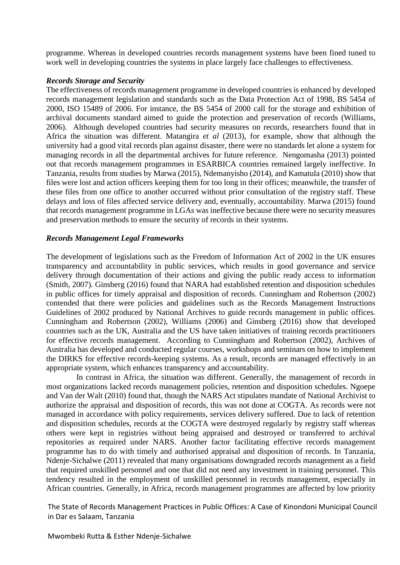programme. Whereas in developed countries records management systems have been fined tuned to work well in developing countries the systems in place largely face challenges to effectiveness.

#### *Records Storage and Security*

The effectiveness of records management programme in developed countries is enhanced by developed records management legislation and standards such as the Data Protection Act of 1998, BS 5454 of 2000, ISO 15489 of 2006. For instance, the BS 5454 of 2000 call for the storage and exhibition of archival documents standard aimed to guide the protection and preservation of records (Williams, 2006). Although developed countries had security measures on records, researchers found that in Africa the situation was different. Matangira *et al* (2013), for example, show that although the university had a good vital records plan against disaster, there were no standards let alone a system for managing records in all the departmental archives for future reference. Nengomasha (2013) pointed out that records management programmes in ESARBICA countries remained largely ineffective. In Tanzania, results from studies by Marwa (2015), Ndemanyisho (2014), and Kamatula (2010) show that files were lost and action officers keeping them for too long in their offices; meanwhile, the transfer of these files from one office to another occurred without prior consultation of the registry staff. These delays and loss of files affected service delivery and, eventually, accountability. Marwa (2015) found that records management programme in LGAs was ineffective because there were no security measures and preservation methods to ensure the security of records in their systems.

#### *Records Management Legal Frameworks*

The development of legislations such as the Freedom of Information Act of 2002 in the UK ensures transparency and accountability in public services, which results in good governance and service delivery through documentation of their actions and giving the public ready access to information (Smith, 2007). Ginsberg (2016) found that NARA had established retention and disposition schedules in public offices for timely appraisal and disposition of records. Cunningham and Robertson (2002) contended that there were policies and guidelines such as the Records Management Instructions Guidelines of 2002 produced by National Archives to guide records management in public offices. Cunningham and Robertson (2002), Williams (2006) and Ginsberg (2016) show that developed countries such as the UK, Australia and the US have taken initiatives of training records practitioners for effective records management. According to Cunningham and Robertson (2002), Archives of Australia has developed and conducted regular courses, workshops and seminars on how to implement the DIRKS for effective records-keeping systems. As a result, records are managed effectively in an appropriate system, which enhances transparency and accountability.

In contrast in Africa, the situation was different. Generally, the management of records in most organizations lacked records management policies, retention and disposition schedules. Ngoepe and Van der Walt (2010) found that, though the NARS Act stipulates mandate of National Archivist to authorize the appraisal and disposition of records, this was not done at COGTA. As records were not managed in accordance with policy requirements, services delivery suffered. Due to lack of retention and disposition schedules, records at the COGTA were destroyed regularly by registry staff whereas others were kept in registries without being appraised and destroyed or transferred to archival repositories as required under NARS. Another factor facilitating effective records management programme has to do with timely and authorised appraisal and disposition of records. In Tanzania, Ndenje-Sichalwe (2011) revealed that many organisations downgraded records management as a field that required unskilled personnel and one that did not need any investment in training personnel. This tendency resulted in the employment of unskilled personnel in records management, especially in African countries. Generally, in Africa, records management programmes are affected by low priority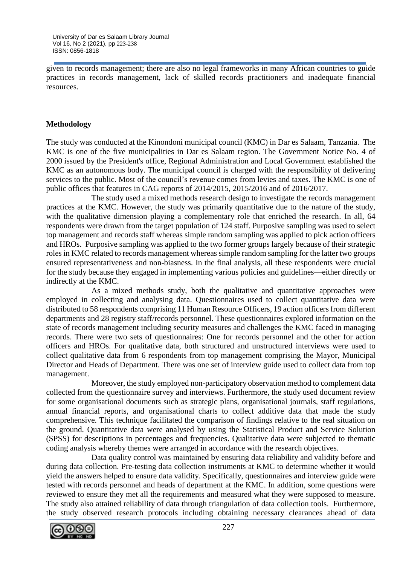given to records management; there are also no legal frameworks in many African countries to guide practices in records management, lack of skilled records practitioners and inadequate financial resources.

## **Methodology**

The study was conducted at the Kinondoni municipal council (KMC) in Dar es Salaam, Tanzania. The KMC is one of the five municipalities in Dar es Salaam region. The Government Notice No. 4 of 2000 issued by the President's office, Regional Administration and Local Government established the KMC as an autonomous body. The municipal council is charged with the responsibility of delivering services to the public. Most of the council's revenue comes from levies and taxes. The KMC is one of public offices that features in CAG reports of 2014/2015, 2015/2016 and of 2016/2017.

The study used a mixed methods research design to investigate the records management practices at the KMC. However, the study was primarily quantitative due to the nature of the study, with the qualitative dimension playing a complementary role that enriched the research. In all, 64 respondents were drawn from the target population of 124 staff. Purposive sampling was used to select top management and records staff whereas simple random sampling was applied to pick action officers and HROs. Purposive sampling was applied to the two former groups largely because of their strategic roles in KMC related to records management whereas simple random sampling for the latter two groups ensured representativeness and non-biasness. In the final analysis, all these respondents were crucial for the study because they engaged in implementing various policies and guidelines—either directly or indirectly at the KMC.

As a mixed methods study, both the qualitative and quantitative approaches were employed in collecting and analysing data. Questionnaires used to collect quantitative data were distributed to 58 respondents comprising 11 Human Resource Officers, 19 action officers from different departments and 28 registry staff/records personnel. These questionnaires explored information on the state of records management including security measures and challenges the KMC faced in managing records. There were two sets of questionnaires: One for records personnel and the other for action officers and HROs. For qualitative data, both structured and unstructured interviews were used to collect qualitative data from 6 respondents from top management comprising the Mayor, Municipal Director and Heads of Department. There was one set of interview guide used to collect data from top management.

Moreover, the study employed non-participatory observation method to complement data collected from the questionnaire survey and interviews. Furthermore, the study used document review for some organisational documents such as strategic plans, organisational journals, staff regulations, annual financial reports, and organisational charts to collect additive data that made the study comprehensive. This technique facilitated the comparison of findings relative to the real situation on the ground. Quantitative data were analysed by using the Statistical Product and Service Solution (SPSS) for descriptions in percentages and frequencies. Qualitative data were subjected to thematic coding analysis whereby themes were arranged in accordance with the research objectives.

Data quality control was maintained by ensuring data reliability and validity before and during data collection. Pre-testing data collection instruments at KMC to determine whether it would yield the answers helped to ensure data validity. Specifically, questionnaires and interview guide were tested with records personnel and heads of department at the KMC. In addition, some questions were reviewed to ensure they met all the requirements and measured what they were supposed to measure. The study also attained reliability of data through triangulation of data collection tools. Furthermore, the study observed research protocols including obtaining necessary clearances ahead of data

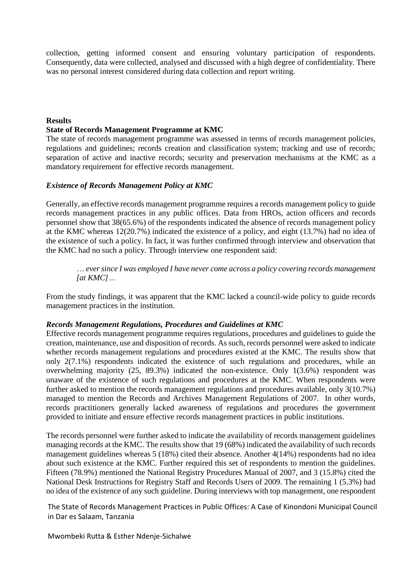collection, getting informed consent and ensuring voluntary participation of respondents. Consequently, data were collected, analysed and discussed with a high degree of confidentiality. There was no personal interest considered during data collection and report writing.

#### **Results**

#### **State of Records Management Programme at KMC**

The state of records management programme was assessed in terms of records management policies, regulations and guidelines; records creation and classification system; tracking and use of records; separation of active and inactive records; security and preservation mechanisms at the KMC as a mandatory requirement for effective records management.

#### *Existence of Records Management Policy at KMC*

Generally, an effective records management programme requires a records management policy to guide records management practices in any public offices. Data from HROs, action officers and records personnel show that 38(65.6%) of the respondents indicated the absence of records management policy at the KMC whereas 12(20.7%) indicated the existence of a policy, and eight (13.7%) had no idea of the existence of such a policy. In fact, it was further confirmed through interview and observation that the KMC had no such a policy. Through interview one respondent said:

… *ever since I was employed I have never come across a policy covering records management [at KMC]…*

From the study findings, it was apparent that the KMC lacked a council-wide policy to guide records management practices in the institution.

#### *Records Management Regulations, Procedures and Guidelines at KMC*

Effective records management programme requires regulations, procedures and guidelines to guide the creation, maintenance, use and disposition of records. As such, records personnel were asked to indicate whether records management regulations and procedures existed at the KMC. The results show that only 2(7.1%) respondents indicated the existence of such regulations and procedures, while an overwhelming majority (25, 89.3%) indicated the non-existence. Only 1(3.6%) respondent was unaware of the existence of such regulations and procedures at the KMC. When respondents were further asked to mention the records management regulations and procedures available, only 3(10.7%) managed to mention the Records and Archives Management Regulations of 2007. In other words, records practitioners generally lacked awareness of regulations and procedures the government provided to initiate and ensure effective records management practices in public institutions.

The records personnel were further asked to indicate the availability of records management guidelines managing records at the KMC. The results show that 19 (68%) indicated the availability of such records management guidelines whereas 5 (18%) cited their absence. Another 4(14%) respondents had no idea about such existence at the KMC. Further required this set of respondents to mention the guidelines. Fifteen (78.9%) mentioned the National Registry Procedures Manual of 2007, and 3 (15.8%) cited the National Desk Instructions for Registry Staff and Records Users of 2009. The remaining 1 (5.3%) had no idea of the existence of any such guideline. During interviews with top management, one respondent

The State of Records Management Practices in Public Offices: A Case of Kinondoni Municipal Council in Dar es Salaam, Tanzania

Mwombeki Rutta & Esther Ndenje-Sichalwe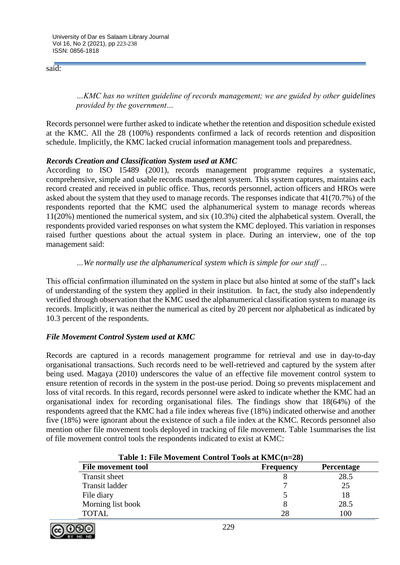said:

*…KMC has no written guideline of records management; we are guided by other guidelines provided by the government…*

Records personnel were further asked to indicate whether the retention and disposition schedule existed at the KMC. All the 28 (100%) respondents confirmed a lack of records retention and disposition schedule. Implicitly, the KMC lacked crucial information management tools and preparedness.

## *Records Creation and Classification System used at KMC*

According to ISO 15489 (2001), records management programme requires a systematic, comprehensive, simple and usable records management system. This system captures, maintains each record created and received in public office. Thus, records personnel, action officers and HROs were asked about the system that they used to manage records. The responses indicate that 41(70.7%) of the respondents reported that the KMC used the alphanumerical system to manage records whereas 11(20%) mentioned the numerical system, and six (10.3%) cited the alphabetical system. Overall, the respondents provided varied responses on what system the KMC deployed. This variation in responses raised further questions about the actual system in place. During an interview, one of the top management said:

### *…We normally use the alphanumerical system which is simple for our staff …*

This official confirmation illuminated on the system in place but also hinted at some of the staff's lack of understanding of the system they applied in their institution. In fact, the study also independently verified through observation that the KMC used the alphanumerical classification system to manage its records. Implicitly, it was neither the numerical as cited by 20 percent nor alphabetical as indicated by 10.3 percent of the respondents.

## *File Movement Control System used at KMC*

Records are captured in a records management programme for retrieval and use in day-to-day organisational transactions. Such records need to be well-retrieved and captured by the system after being used. Magaya (2010) underscores the value of an effective file movement control system to ensure retention of records in the system in the post-use period. Doing so prevents misplacement and loss of vital records. In this regard, records personnel were asked to indicate whether the KMC had an organisational index for recording organisational files. The findings show that 18(64%) of the respondents agreed that the KMC had a file index whereas five (18%) indicated otherwise and another five (18%) were ignorant about the existence of such a file index at the KMC. Records personnel also mention other file movement tools deployed in tracking of file movement. Table 1summarises the list of file movement control tools the respondents indicated to exist at KMC:

| Table 1: File Movement Control Tools at KMC(n=28) |                  |                   |  |
|---------------------------------------------------|------------------|-------------------|--|
| <b>File movement tool</b>                         | <b>Frequency</b> | <b>Percentage</b> |  |
| Transit sheet                                     |                  | 28.5              |  |
| Transit ladder                                    |                  | 25                |  |
| File diary                                        |                  | 18                |  |
| Morning list book                                 |                  | 28.5              |  |
| <b>TOTAL</b>                                      | 28               | 100               |  |

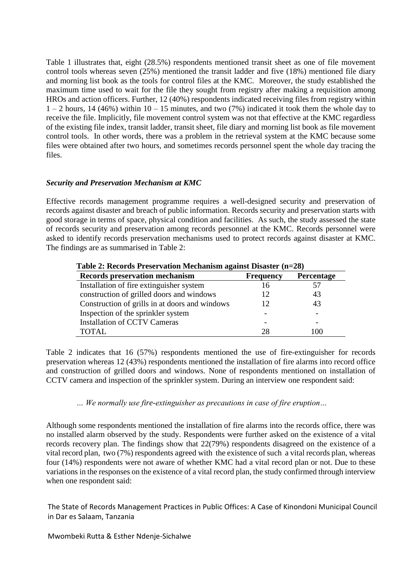Table 1 illustrates that, eight (28.5%) respondents mentioned transit sheet as one of file movement control tools whereas seven (25%) mentioned the transit ladder and five (18%) mentioned file diary and morning list book as the tools for control files at the KMC. Moreover, the study established the maximum time used to wait for the file they sought from registry after making a requisition among HROs and action officers. Further, 12 (40%) respondents indicated receiving files from registry within  $1 - 2$  hours, 14 (46%) within  $10 - 15$  minutes, and two (7%) indicated it took them the whole day to receive the file. Implicitly, file movement control system was not that effective at the KMC regardless of the existing file index, transit ladder, transit sheet, file diary and morning list book as file movement control tools. In other words, there was a problem in the retrieval system at the KMC because some files were obtained after two hours, and sometimes records personnel spent the whole day tracing the files.

#### *Security and Preservation Mechanism at KMC*

Effective records management programme requires a well-designed security and preservation of records against disaster and breach of public information. Records security and preservation starts with good storage in terms of space, physical condition and facilities. As such, the study assessed the state of records security and preservation among records personnel at the KMC. Records personnel were asked to identify records preservation mechanisms used to protect records against disaster at KMC. The findings are as summarised in Table 2:

| <b>THEIR FIGURE I</b> LOST THUGH INTERNATION REMAINS DISRUSS $\left( \text{h=20} \right)$ |                  |            |  |
|-------------------------------------------------------------------------------------------|------------------|------------|--|
| Records preservation mechanism                                                            | <b>Frequency</b> | Percentage |  |
| Installation of fire extinguisher system                                                  | 16               |            |  |
| construction of grilled doors and windows                                                 | 12               | 43         |  |
| Construction of grills in at doors and windows                                            | 12               | 43         |  |
| Inspection of the sprinkler system                                                        |                  |            |  |
| <b>Installation of CCTV Cameras</b>                                                       |                  |            |  |
| <b>TOTAL</b>                                                                              | 28               | 100        |  |

**Table 2: Records Preservation Mechanism against Disaster (n=28)**

Table 2 indicates that 16 (57%) respondents mentioned the use of fire-extinguisher for records preservation whereas 12 (43%) respondents mentioned the installation of fire alarms into record office and construction of grilled doors and windows. None of respondents mentioned on installation of CCTV camera and inspection of the sprinkler system. During an interview one respondent said:

*… We normally use fire-extinguisher as precautions in case of fire eruption…*

Although some respondents mentioned the installation of fire alarms into the records office, there was no installed alarm observed by the study. Respondents were further asked on the existence of a vital records recovery plan. The findings show that 22(79%) respondents disagreed on the existence of a vital record plan, two (7%) respondents agreed with the existence of such a vital records plan, whereas four (14%) respondents were not aware of whether KMC had a vital record plan or not. Due to these variations in the responses on the existence of a vital record plan, the study confirmed through interview when one respondent said: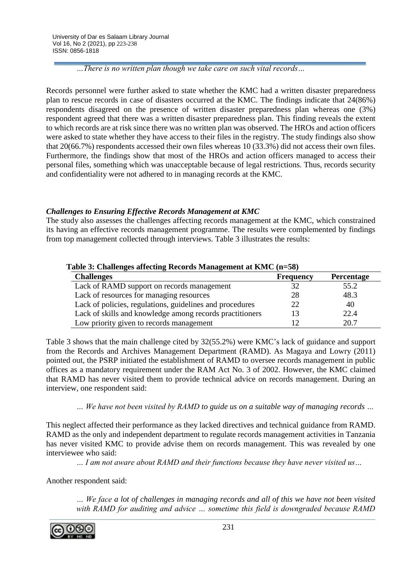*…There is no written plan though we take care on such vital records…*

Records personnel were further asked to state whether the KMC had a written disaster preparedness plan to rescue records in case of disasters occurred at the KMC. The findings indicate that 24(86%) respondents disagreed on the presence of written disaster preparedness plan whereas one (3%) respondent agreed that there was a written disaster preparedness plan. This finding reveals the extent to which records are at risk since there was no written plan was observed. The HROs and action officers were asked to state whether they have access to their files in the registry. The study findings also show that 20(66.7%) respondents accessed their own files whereas 10 (33.3%) did not access their own files. Furthermore, the findings show that most of the HROs and action officers managed to access their personal files, something which was unacceptable because of legal restrictions. Thus, records security and confidentiality were not adhered to in managing records at the KMC.

# *Challenges to Ensuring Effective Records Management at KMC*

The study also assesses the challenges affecting records management at the KMC, which constrained its having an effective records management programme. The results were complemented by findings from top management collected through interviews. Table 3 illustrates the results:

| Table 3: Challenges affecting Records Management at KMC (n=58) |                  |                   |  |
|----------------------------------------------------------------|------------------|-------------------|--|
| <b>Challenges</b>                                              | <b>Frequency</b> | <b>Percentage</b> |  |
| Lack of RAMD support on records management                     | 32               | 55.2              |  |
| Lack of resources for managing resources                       | 28               | 48.3              |  |
| Lack of policies, regulations, guidelines and procedures       | 22               | 40                |  |
| Lack of skills and knowledge among records practitioners       | 13               | 22.4              |  |
| Low priority given to records management                       | 12               | 20.7              |  |

## **Table 3: Challenges affecting Records Management at KMC (n=58)**

Table 3 shows that the main challenge cited by 32(55.2%) were KMC's lack of guidance and support from the Records and Archives Management Department (RAMD). As Magaya and Lowry (2011) pointed out, the PSRP initiated the establishment of RAMD to oversee records management in public offices as a mandatory requirement under the RAM Act No. 3 of 2002. However, the KMC claimed that RAMD has never visited them to provide technical advice on records management. During an interview, one respondent said:

*… We have not been visited by RAMD to guide us on a suitable way of managing records …*

This neglect affected their performance as they lacked directives and technical guidance from RAMD. RAMD as the only and independent department to regulate records management activities in Tanzania has never visited KMC to provide advise them on records management. This was revealed by one interviewee who said:

*… I am not aware about RAMD and their functions because they have never visited us…*

Another respondent said:

*… We face a lot of challenges in managing records and all of this we have not been visited*  with RAMD for auditing and advice ... sometime this field is downgraded because RAMD

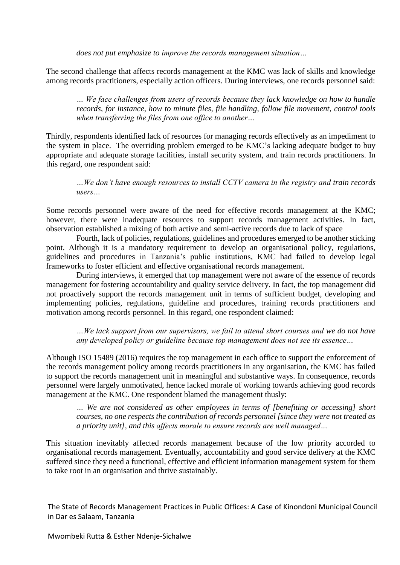*does not put emphasize to improve the records management situation…*

The second challenge that affects records management at the KMC was lack of skills and knowledge among records practitioners, especially action officers. During interviews, one records personnel said:

*… We face challenges from users of records because they lack knowledge on how to handle records, for instance, how to minute files, file handling, follow file movement, control tools when transferring the files from one office to another…*

Thirdly, respondents identified lack of resources for managing records effectively as an impediment to the system in place. The overriding problem emerged to be KMC's lacking adequate budget to buy appropriate and adequate storage facilities, install security system, and train records practitioners. In this regard, one respondent said:

*…We don't have enough resources to install CCTV camera in the registry and train records users…*

Some records personnel were aware of the need for effective records management at the KMC; however, there were inadequate resources to support records management activities. In fact, observation established a mixing of both active and semi-active records due to lack of space

Fourth, lack of policies, regulations, guidelines and procedures emerged to be another sticking point. Although it is a mandatory requirement to develop an organisational policy, regulations, guidelines and procedures in Tanzania's public institutions, KMC had failed to develop legal frameworks to foster efficient and effective organisational records management.

During interviews, it emerged that top management were not aware of the essence of records management for fostering accountability and quality service delivery. In fact, the top management did not proactively support the records management unit in terms of sufficient budget, developing and implementing policies, regulations, guideline and procedures, training records practitioners and motivation among records personnel. In this regard, one respondent claimed:

*…We lack support from our supervisors, we fail to attend short courses and we do not have any developed policy or guideline because top management does not see its essence…*

Although ISO 15489 (2016) requires the top management in each office to support the enforcement of the records management policy among records practitioners in any organisation, the KMC has failed to support the records management unit in meaningful and substantive ways. In consequence, records personnel were largely unmotivated, hence lacked morale of working towards achieving good records management at the KMC. One respondent blamed the management thusly:

*… We are not considered as other employees in terms of [benefiting or accessing] short courses, no one respects the contribution of records personnel [since they were not treated as a priority unit], and this affects morale to ensure records are well managed…*

This situation inevitably affected records management because of the low priority accorded to organisational records management. Eventually, accountability and good service delivery at the KMC suffered since they need a functional, effective and efficient information management system for them to take root in an organisation and thrive sustainably.

The State of Records Management Practices in Public Offices: A Case of Kinondoni Municipal Council in Dar es Salaam, Tanzania

Mwombeki Rutta & Esther Ndenje-Sichalwe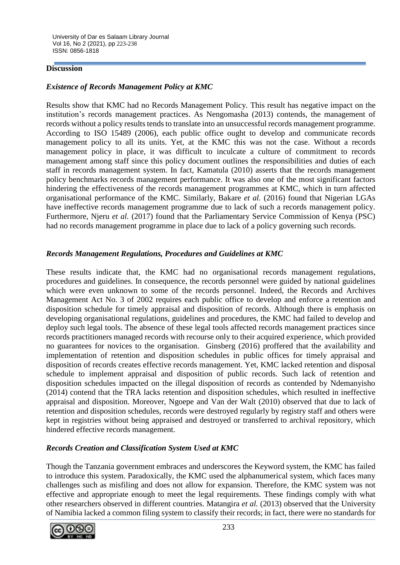### **Discussion**

## *Existence of Records Management Policy at KMC*

Results show that KMC had no Records Management Policy. This result has negative impact on the institution's records management practices. As Nengomasha (2013) contends, the management of records without a policy results tends to translate into an unsuccessful records management programme. According to ISO 15489 (2006), each public office ought to develop and communicate records management policy to all its units. Yet, at the KMC this was not the case. Without a records management policy in place, it was difficult to inculcate a culture of commitment to records management among staff since this policy document outlines the responsibilities and duties of each staff in records management system. In fact, Kamatula (2010) asserts that the records management policy benchmarks records management performance. It was also one of the most significant factors hindering the effectiveness of the records management programmes at KMC, which in turn affected organisational performance of the KMC. Similarly, Bakare *et al.* (2016) found that Nigerian LGAs have ineffective records management programme due to lack of such a records management policy. Furthermore, Njeru *et al.* (2017) found that the Parliamentary Service Commission of Kenya (PSC) had no records management programme in place due to lack of a policy governing such records.

## *Records Management Regulations, Procedures and Guidelines at KMC*

These results indicate that, the KMC had no organisational records management regulations, procedures and guidelines. In consequence, the records personnel were guided by national guidelines which were even unknown to some of the records personnel. Indeed, the Records and Archives Management Act No. 3 of 2002 requires each public office to develop and enforce a retention and disposition schedule for timely appraisal and disposition of records. Although there is emphasis on developing organisational regulations, guidelines and procedures, the KMC had failed to develop and deploy such legal tools. The absence of these legal tools affected records management practices since records practitioners managed records with recourse only to their acquired experience, which provided no guarantees for novices to the organisation. Ginsberg (2016) proffered that the availability and implementation of retention and disposition schedules in public offices for timely appraisal and disposition of records creates effective records management. Yet, KMC lacked retention and disposal schedule to implement appraisal and disposition of public records. Such lack of retention and disposition schedules impacted on the illegal disposition of records as contended by Ndemanyisho (2014) contend that the TRA lacks retention and disposition schedules, which resulted in ineffective appraisal and disposition. Moreover, Ngoepe and Van der Walt (2010) observed that due to lack of retention and disposition schedules, records were destroyed regularly by registry staff and others were kept in registries without being appraised and destroyed or transferred to archival repository, which hindered effective records management.

## *Records Creation and Classification System Used at KMC*

Though the Tanzania government embraces and underscores the Keyword system, the KMC has failed to introduce this system. Paradoxically, the KMC used the alphanumerical system, which faces many challenges such as misfiling and does not allow for expansion. Therefore, the KMC system was not effective and appropriate enough to meet the legal requirements. These findings comply with what other researchers observed in different countries. Matangira *et al.* (2013) observed that the University of Namibia lacked a common filing system to classify their records; in fact, there were no standards for

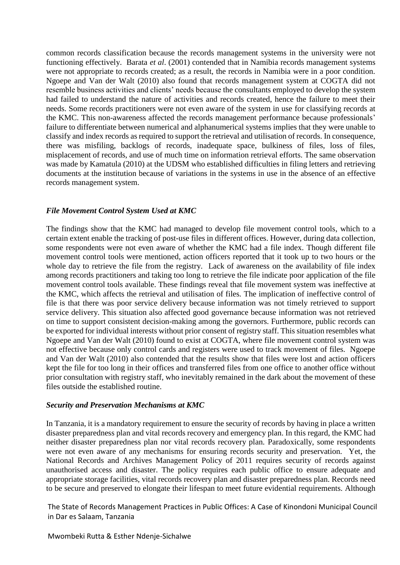common records classification because the records management systems in the university were not functioning effectively. Barata *et al*. (2001) contended that in Namibia records management systems were not appropriate to records created; as a result, the records in Namibia were in a poor condition. Ngoepe and Van der Walt (2010) also found that records management system at COGTA did not resemble business activities and clients' needs because the consultants employed to develop the system had failed to understand the nature of activities and records created, hence the failure to meet their needs. Some records practitioners were not even aware of the system in use for classifying records at the KMC. This non-awareness affected the records management performance because professionals' failure to differentiate between numerical and alphanumerical systems implies that they were unable to classify and index records as required to support the retrieval and utilisation of records. In consequence, there was misfiling, backlogs of records, inadequate space, bulkiness of files, loss of files, misplacement of records, and use of much time on information retrieval efforts. The same observation was made by Kamatula (2010) at the UDSM who established difficulties in filing letters and retrieving documents at the institution because of variations in the systems in use in the absence of an effective records management system.

### *File Movement Control System Used at KMC*

The findings show that the KMC had managed to develop file movement control tools, which to a certain extent enable the tracking of post-use files in different offices. However, during data collection, some respondents were not even aware of whether the KMC had a file index. Though different file movement control tools were mentioned, action officers reported that it took up to two hours or the whole day to retrieve the file from the registry. Lack of awareness on the availability of file index among records practitioners and taking too long to retrieve the file indicate poor application of the file movement control tools available. These findings reveal that file movement system was ineffective at the KMC, which affects the retrieval and utilisation of files*.* The implication of ineffective control of file is that there was poor service delivery because information was not timely retrieved to support service delivery. This situation also affected good governance because information was not retrieved on time to support consistent decision-making among the governors. Furthermore, public records can be exported for individual interests without prior consent of registry staff. This situation resembles what Ngoepe and Van der Walt (2010) found to exist at COGTA, where file movement control system was not effective because only control cards and registers were used to track movement of files. Ngoepe and Van der Walt (2010) also contended that the results show that files were lost and action officers kept the file for too long in their offices and transferred files from one office to another office without prior consultation with registry staff, who inevitably remained in the dark about the movement of these files outside the established routine.

#### *Security and Preservation Mechanisms at KMC*

In Tanzania, it is a mandatory requirement to ensure the security of records by having in place a written disaster preparedness plan and vital records recovery and emergency plan. In this regard, the KMC had neither disaster preparedness plan nor vital records recovery plan. Paradoxically, some respondents were not even aware of any mechanisms for ensuring records security and preservation. Yet, the National Records and Archives Management Policy of 2011 requires security of records against unauthorised access and disaster. The policy requires each public office to ensure adequate and appropriate storage facilities, vital records recovery plan and disaster preparedness plan. Records need to be secure and preserved to elongate their lifespan to meet future evidential requirements. Although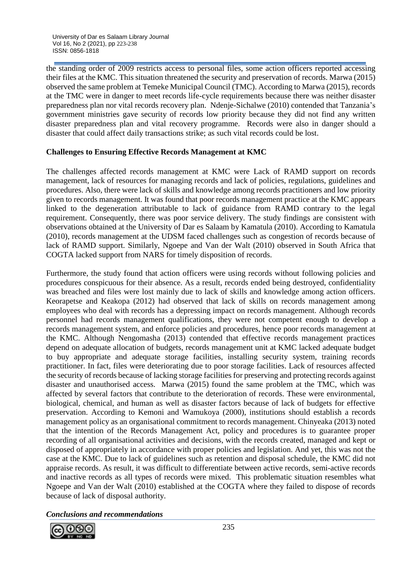the standing order of 2009 restricts access to personal files, some action officers reported accessing their files at the KMC. This situation threatened the security and preservation of records. Marwa (2015) observed the same problem at Temeke Municipal Council (TMC). According to Marwa (2015), records at the TMC were in danger to meet records life-cycle requirements because there was neither disaster preparedness plan nor vital records recovery plan. Ndenje-Sichalwe (2010) contended that Tanzania's government ministries gave security of records low priority because they did not find any written disaster preparedness plan and vital recovery programme. Records were also in danger should a disaster that could affect daily transactions strike; as such vital records could be lost.

# **Challenges to Ensuring Effective Records Management at KMC**

The challenges affected records management at KMC were Lack of RAMD support on records management, lack of resources for managing records and lack of policies, regulations, guidelines and procedures. Also, there were lack of skills and knowledge among records practitioners and low priority given to records management. It was found that poor records management practice at the KMC appears linked to the degeneration attributable to lack of guidance from RAMD contrary to the legal requirement. Consequently, there was poor service delivery. The study findings are consistent with observations obtained at the University of Dar es Salaam by Kamatula (2010). According to Kamatula (2010), records management at the UDSM faced challenges such as congestion of records because of lack of RAMD support. Similarly, Ngoepe and Van der Walt (2010) observed in South Africa that COGTA lacked support from NARS for timely disposition of records.

Furthermore, the study found that action officers were using records without following policies and procedures conspicuous for their absence. As a result, records ended being destroyed, confidentiality was breached and files were lost mainly due to lack of skills and knowledge among action officers. Keorapetse and Keakopa (2012) had observed that lack of skills on records management among employees who deal with records has a depressing impact on records management. Although records personnel had records management qualifications, they were not competent enough to develop a records management system, and enforce policies and procedures, hence poor records management at the KMC. Although Nengomasha (2013) contended that effective records management practices depend on adequate allocation of budgets, records management unit at KMC lacked adequate budget to buy appropriate and adequate storage facilities, installing security system, training records practitioner. In fact, files were deteriorating due to poor storage facilities. Lack of resources affected the security of records because of lacking storage facilities for preserving and protecting records against disaster and unauthorised access. Marwa (2015) found the same problem at the TMC, which was affected by several factors that contribute to the deterioration of records. These were environmental, biological, chemical, and human as well as disaster factors because of lack of budgets for effective preservation. According to Kemoni and Wamukoya (2000), institutions should establish a records management policy as an organisational commitment to records management. Chinyeaka (2013) noted that the intention of the Records Management Act, policy and procedures is to guarantee proper recording of all organisational activities and decisions, with the records created, managed and kept or disposed of appropriately in accordance with proper policies and legislation. And yet, this was not the case at the KMC. Due to lack of guidelines such as retention and disposal schedule, the KMC did not appraise records. As result, it was difficult to differentiate between active records, semi-active records and inactive records as all types of records were mixed. This problematic situation resembles what Ngoepe and Van der Walt (2010) established at the COGTA where they failed to dispose of records because of lack of disposal authority.

*Conclusions and recommendations*

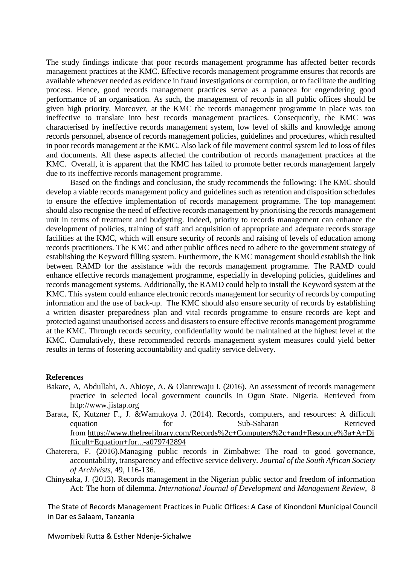The study findings indicate that poor records management programme has affected better records management practices at the KMC. Effective records management programme ensures that records are available whenever needed as evidence in fraud investigations or corruption, or to facilitate the auditing process. Hence, good records management practices serve as a panacea for engendering good performance of an organisation. As such, the management of records in all public offices should be given high priority. Moreover, at the KMC the records management programme in place was too ineffective to translate into best records management practices. Consequently, the KMC was characterised by ineffective records management system, low level of skills and knowledge among records personnel, absence of records management policies, guidelines and procedures, which resulted in poor records management at the KMC. Also lack of file movement control system led to loss of files and documents. All these aspects affected the contribution of records management practices at the KMC. Overall, it is apparent that the KMC has failed to promote better records management largely due to its ineffective records management programme.

Based on the findings and conclusion, the study recommends the following: The KMC should develop a viable records management policy and guidelines such as retention and disposition schedules to ensure the effective implementation of records management programme. The top management should also recognise the need of effective records management by prioritising the records management unit in terms of treatment and budgeting. Indeed, priority to records management can enhance the development of policies, training of staff and acquisition of appropriate and adequate records storage facilities at the KMC, which will ensure security of records and raising of levels of education among records practitioners. The KMC and other public offices need to adhere to the government strategy of establishing the Keyword filling system. Furthermore, the KMC management should establish the link between RAMD for the assistance with the records management programme. The RAMD could enhance effective records management programme, especially in developing policies, guidelines and records management systems. Additionally, the RAMD could help to install the Keyword system at the KMC. This system could enhance electronic records management for security of records by computing information and the use of back-up. The KMC should also ensure security of records by establishing a written disaster preparedness plan and vital records programme to ensure records are kept and protected against unauthorised access and disasters to ensure effective records management programme at the KMC. Through records security, confidentiality would be maintained at the highest level at the KMC. Cumulatively, these recommended records management system measures could yield better results in terms of fostering accountability and quality service delivery.

#### **References**

- Bakare, A, Abdullahi, A. Abioye, A. & Olanrewaju I. (2016). An assessment of records management practice in selected local government councils in Ogun State. Nigeria. Retrieved from [http://www.jistap.org](about:blank)
- Barata, K, Kutzner F., J. &Wamukoya J. (2014). Records, computers, and resources: A difficult equation for Sub-Saharan Retrieved from [https://www.thefreelibrary.com/Records%2c+Computers%2c+and+Resource%3a+A+Di](about:blank) [fficult+Equation+for...-a079742894](about:blank)
- Chaterera, F. (2016).Managing public records in Zimbabwe: The road to good governance, accountability, transparency and effective service delivery. *Journal of the South African Society of Archivists,* 49*,* 116-136.
- Chinyeaka, J. (2013). Records management in the Nigerian public sector and freedom of information Act: The horn of dilemma. *International Journal of Development and Management Review*, 8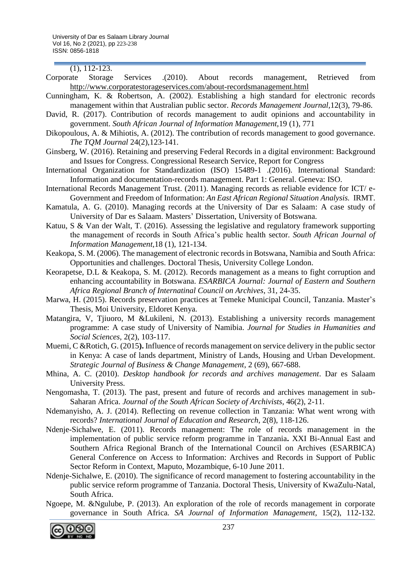(1), 112-123.

- Corporate Storage Services .(2010). About records management, Retrieved from [http://www.corporatestorageservices.com/about-recordsmanagement.html](about:blank)
- Cunningham, K. & Robertson, A. (2002). Establishing a high standard for electronic records management within that Australian public sector. *Records Management Journal,*12(3), 79-86.
- David, R. (2017). Contribution of records management to audit opinions and accountability in government. *South African Journal of Information Management,*19 (1), 771
- Dikopoulous, A. & Mihiotis, A. (2012). The contribution of records management to good governance. *The TQM Journal* 24(2),123-141.
- Ginsberg, W. (2016). Retaining and preserving Federal Records in a digital environment: Background and Issues for Congress. Congressional Research Service, Report for Congress
- International Organization for Standardization (ISO) 15489-1 .(2016). International Standard: Information and documentation-records management. Part 1: General. Geneva: ISO.
- International Records Management Trust. (2011). Managing records as reliable evidence for ICT/ e-Government and Freedom of Information: *An East African Regional Situation Analysis.* IRMT.
- Kamatula, A. G. (2010). Managing records at the University of Dar es Salaam: A case study of University of Dar es Salaam. Masters' Dissertation, University of Botswana.
- Katuu, S & Van der Walt, T. (2016). Assessing the legislative and regulatory framework supporting the management of records in South Africa's public health sector. *South African Journal of Information Management,*18 (1), 121-134.
- Keakopa, S. M. (2006). The management of electronic records in Botswana, Namibia and South Africa: Opportunities and challenges. Doctoral Thesis, University College London.
- Keorapetse, D.L & Keakopa, S. M. (2012). Records management as a means to fight corruption and enhancing accountability in Botswana. *ESARBICA Journal: Journal of Eastern and Southern Africa Regional Branch of Internatinal Council on Archives*, 31*,* 24-35.
- Marwa, H. (2015). Records preservation practices at Temeke Municipal Council, Tanzania. Master's Thesis, Moi University, Eldoret Kenya.
- Matangira, V, Tjiuoro, M &Lukileni, N. (2013). Establishing a university records management programme: A case study of University of Namibia. *Journal for Studies in Humanities and Social Sciences,* 2(2), 103-117.
- Muemi, C &Rotich, G. (2015**).** Influence of records management on service delivery in the public sector in Kenya: A case of lands department, Ministry of Lands, Housing and Urban Development. *Strategic Journal of Business & Change Management*, 2 (69), 667-688.
- Mhina, A. C. (2010). *Desktop handbook for records and archives management*. Dar es Salaam University Press.
- Nengomasha, T. (2013). The past, present and future of records and archives management in sub-Saharan Africa. *Journal of the South African Society of Archivists*, 46(2), 2-11.
- Ndemanyisho, A. J. (2014). Reflecting on revenue collection in Tanzania: What went wrong with records? *International Journal of Education and Research*, 2(8), 118-126.
- Ndenje-Sichalwe, E. (2011). Records management: The role of records management in the implementation of public service reform programme in Tanzania**.** XXI Bi-Annual East and Southern Africa Regional Branch of the International Council on Archives (ESARBICA) General Conference on Access to Information: Archives and Records in Support of Public Sector Reform in Context, Maputo, Mozambique, 6-10 June 2011*.*
- Ndenje-Sichalwe, E. (2010). The significance of record management to fostering accountability in the public service reform programme of Tanzania. Doctoral Thesis, University of KwaZulu-Natal, South Africa.
- Ngoepe, M. &Ngulube, P. (2013). An exploration of the role of records management in corporate governance in South Africa. *SA Journal of Information Management,* 15(2), 112-132.